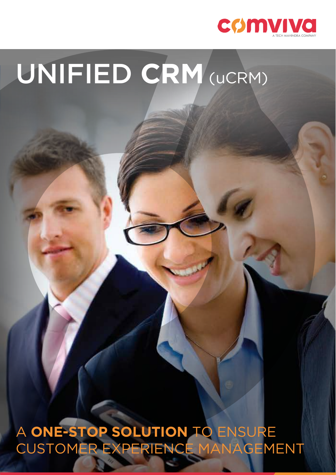

# UNIFIED **CRM** (uCRM)

A **ONE-STOP SOLUTION** TO ENSURE CUSTOMER EXPERIENCE MANAGEMENT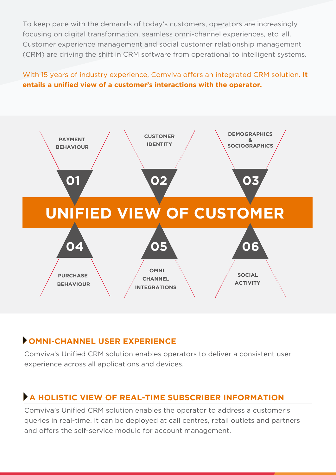To keep pace with the demands of today's customers, operators are increasingly focusing on digital transformation, seamless omni-channel experiences, etc. all. Customer experience management and social customer relationship management (CRM) are driving the shift in CRM software from operational to intelligent systems.

#### With 15 years of industry experience, Comviva offers an integrated CRM solution. **It entails a unified view of a customer's interactions with the operator.**



## **OMNI-CHANNEL USER EXPERIENCE**

Comviva's Unified CRM solution enables operators to deliver a consistent user experience across all applications and devices.

### **A HOLISTIC VIEW OF REAL-TIME SUBSCRIBER INFORMATION**

Comviva's Unified CRM solution enables the operator to address a customer's queries in real-time. It can be deployed at call centres, retail outlets and partners and offers the self-service module for account management.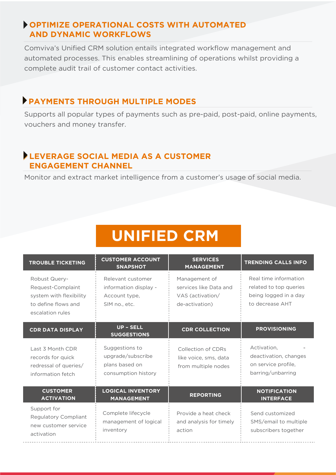#### **OPTIMIZE OPERATIONAL COSTS WITH AUTOMATED AND DYNAMIC WORKFLOWS**

Comviva's Unified CRM solution entails integrated workflow management and automated processes. This enables streamlining of operations whilst providing a complete audit trail of customer contact activities.

#### **PAYMENTS THROUGH MULTIPLE MODES**

Supports all popular types of payments such as pre-paid, post-paid, online payments, vouchers and money transfer.

#### **LEVERAGE SOCIAL MEDIA AS A CUSTOMER ENGAGEMENT CHANNEL**

Monitor and extract market intelligence from a customer's usage of social media.

# **UNIFIED CRM**

| <b>TROUBLE TICKETING</b>                                                                                        | <b>CUSTOMER ACCOUNT</b><br><b>SNAPSHOT</b>                                   | <b>SERVICES</b><br><b>MANAGEMENT</b>                                          | <b>TRENDING CALLS INFO</b>                                                                  |
|-----------------------------------------------------------------------------------------------------------------|------------------------------------------------------------------------------|-------------------------------------------------------------------------------|---------------------------------------------------------------------------------------------|
| <b>Robust Query-</b><br>Request-Complaint<br>system with flexibility<br>to define flows and<br>escalation rules | Relevant customer<br>information display -<br>Account type,<br>SIM no., etc. | Management of<br>services like Data and<br>VAS (activation/<br>de-activation) | Real time information<br>related to top queries<br>being logged in a day<br>to decrease AHT |
| <b>CDR DATA DISPLAY</b>                                                                                         | <b>UP - SELL</b><br><b>SUGGESTIONS</b>                                       | <b>CDR COLLECTION</b>                                                         | <b>PROVISIONING</b>                                                                         |
| Last 3 Month CDR<br>records for quick<br>redressal of queries/<br>information fetch                             | Suggestions to<br>upgrade/subscribe<br>plans based on<br>consumption history | Collection of CDRs<br>like voice, sms, data<br>from multiple nodes            | Activation,<br>deactivation, changes<br>on service profile.<br>barring/unbarring            |
| <b>CUSTOMER</b><br><b>ACTIVATION</b>                                                                            | <b>LOGICAL INVENTORY</b><br><b>MANAGEMENT</b>                                | <b>REPORTING</b>                                                              | <b>NOTIFICATION</b><br><b>INTERFACE</b>                                                     |
| Support for<br><b>Regulatory Compliant</b><br>new customer service<br>activation                                | Complete lifecycle<br>management of logical<br>inventory                     | Provide a heat check<br>and analysis for timely<br>action                     | Send customized<br>SMS/email to multiple<br>subscribers together                            |